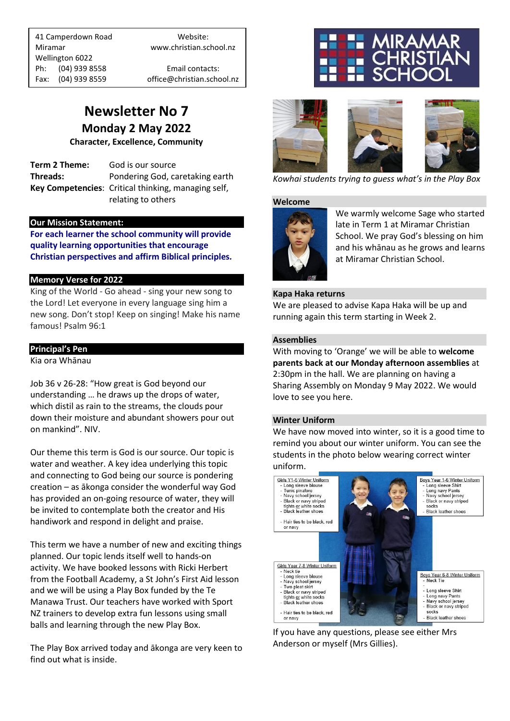41 Camperdown Road Website: Miramar www.christian.school.nz Wellington 6022 Ph: (04) 939 8558 Email contacts:

Fax: (04) 939 8559 office@christian.school.nz

### **Newsletter No 7 Monday 2 May 2022**

**Character, Excellence, Community**

**Term 2 Theme:** God is our source **Threads:** Pondering God, caretaking earth **Key Competencies**: Critical thinking, managing self, relating to others

#### **Our Mission Statement:**

**For each learner the school community will provide quality learning opportunities that encourage Christian perspectives and affirm Biblical principles***.*

#### **Memory Verse for 2022**

King of the World - Go ahead - sing your new song to the Lord! Let everyone in every language sing him a new song. Don't stop! Keep on singing! Make his name famous! Psalm 96:1

#### **Principal's Pen**

Kia ora Whānau

Job 36 v 26-28: "How great is God beyond our understanding … he draws up the drops of water, which distil as rain to the streams, the clouds pour down their moisture and abundant showers pour out on mankind". NIV.

Our theme this term is God is our source. Our topic is water and weather. A key idea underlying this topic and connecting to God being our source is pondering creation – as ākonga consider the wonderful way God has provided an on-going resource of water, they will be invited to contemplate both the creator and His handiwork and respond in delight and praise.

This term we have a number of new and exciting things planned. Our topic lends itself well to hands-on activity. We have booked lessons with Ricki Herbert from the Football Academy, a St John's First Aid lesson and we will be using a Play Box funded by the Te Manawa Trust. Our teachers have worked with Sport NZ trainers to develop extra fun lessons using small balls and learning through the new Play Box.

The Play Box arrived today and ākonga are very keen to find out what is inside.





*Kowhai students trying to guess what's in the Play Box*

#### **Welcome**



We warmly welcome Sage who started late in Term 1 at Miramar Christian School. We pray God's blessing on him and his whānau as he grows and learns at Miramar Christian School.

#### **Kapa Haka returns**

We are pleased to advise Kapa Haka will be up and running again this term starting in Week 2.

#### **Assemblies**

With moving to 'Orange' we will be able to **welcome parents back at our Monday afternoon assemblies** at 2:30pm in the hall. We are planning on having a Sharing Assembly on Monday 9 May 2022. We would love to see you here.

#### **Winter Uniform**

We have now moved into winter, so it is a good time to remind you about our winter uniform. You can see the students in the photo below wearing correct winter uniform.



If you have any questions, please see either Mrs Anderson or myself (Mrs Gillies).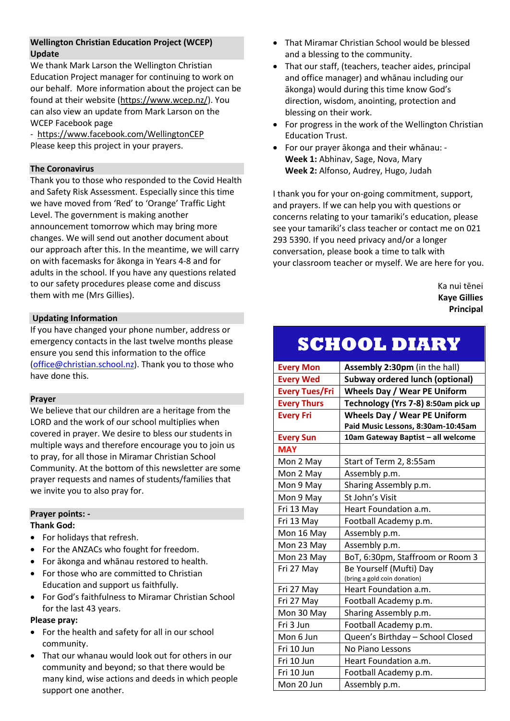#### **Wellington Christian Education Project (WCEP) Update**

We thank Mark Larson the Wellington Christian Education Project manager for continuing to work on our behalf. More information about the project can be found at their website [\(https://www.wcep.nz/\)](https://www.wcep.nz/). You can also view an update from Mark Larson on the WCEP Facebook page

- <https://www.facebook.com/WellingtonCEP> Please keep this project in your prayers.

#### **The Coronavirus**

Thank you to those who responded to the Covid Health and Safety Risk Assessment. Especially since this time we have moved from 'Red' to 'Orange' Traffic Light Level. The government is making another announcement tomorrow which may bring more changes. We will send out another document about our approach after this. In the meantime, we will carry on with facemasks for ākonga in Years 4-8 and for adults in the school. If you have any questions related to our safety procedures please come and discuss them with me (Mrs Gillies).

#### **Updating Information**

If you have changed your phone number, address or emergency contacts in the last twelve months please ensure you send this information to the office [\(office@christian.school.nz\)](mailto:office@christian.school.nz). Thank you to those who have done this.

#### **Prayer**

We believe that our children are a heritage from the LORD and the work of our school multiplies when covered in prayer. We desire to bless our students in multiple ways and therefore encourage you to join us to pray, for all those in Miramar Christian School Community. At the bottom of this newsletter are some prayer requests and names of students/families that we invite you to also pray for.

#### **Prayer points: -**

#### **Thank God:**

- For holidays that refresh.
- For the ANZACs who fought for freedom.
- For ākonga and whānau restored to health.
- For those who are committed to Christian Education and support us faithfully.
- For God's faithfulness to Miramar Christian School for the last 43 years.

#### **Please pray:**

- For the health and safety for all in our school community.
- That our whanau would look out for others in our community and beyond; so that there would be many kind, wise actions and deeds in which people support one another.
- That Miramar Christian School would be blessed and a blessing to the community.
- That our staff, (teachers, teacher aides, principal and office manager) and whānau including our ākonga) would during this time know God's direction, wisdom, anointing, protection and blessing on their work.
- For progress in the work of the Wellington Christian Education Trust.
- For our prayer ākonga and their whānau: **Week 1:** Abhinav, Sage, Nova, Mary **Week 2:** Alfonso, Audrey, Hugo, Judah

I thank you for your on-going commitment, support, and prayers. If we can help you with questions or concerns relating to your tamariki's education, please see your tamariki's class teacher or contact me on 021 293 5390. If you need privacy and/or a longer conversation, please book a time to talk with your classroom teacher or myself. We are here for you.

> Ka nui tēnei **Kaye Gillies Principal**

### **SCHOOL DIARY**

| <b>Every Mon</b>      | Assembly 2:30pm (in the hall)          |
|-----------------------|----------------------------------------|
| <b>Every Wed</b>      | <b>Subway ordered lunch (optional)</b> |
| <b>Every Tues/Fri</b> | <b>Wheels Day / Wear PE Uniform</b>    |
| <b>Every Thurs</b>    | Technology (Yrs 7-8) 8:50am pick up    |
| <b>Every Fri</b>      | <b>Wheels Day / Wear PE Uniform</b>    |
|                       | Paid Music Lessons, 8:30am-10:45am     |
| <b>Every Sun</b>      | 10am Gateway Baptist - all welcome     |
| <b>MAY</b>            |                                        |
| Mon 2 May             | Start of Term 2, 8:55am                |
| Mon 2 May             | Assembly p.m.                          |
| Mon 9 May             | Sharing Assembly p.m.                  |
| Mon 9 May             | St John's Visit                        |
| Fri 13 May            | Heart Foundation a.m.                  |
| Fri 13 May            | Football Academy p.m.                  |
| Mon 16 May            | Assembly p.m.                          |
| Mon 23 May            | Assembly p.m.                          |
| Mon 23 May            | BoT, 6:30pm, Staffroom or Room 3       |
| Fri 27 May            | Be Yourself (Mufti) Day                |
|                       | (bring a gold coin donation)           |
| Fri 27 May            | Heart Foundation a.m.                  |
| Fri 27 May            | Football Academy p.m.                  |
| Mon 30 May            | Sharing Assembly p.m.                  |
| Fri 3 Jun             | Football Academy p.m.                  |
| Mon 6 Jun             | Queen's Birthday - School Closed       |
| Fri 10 Jun            | No Piano Lessons                       |
| Fri 10 Jun            | Heart Foundation a.m.                  |
| Fri 10 Jun            | Football Academy p.m.                  |
| Mon 20 Jun            | Assembly p.m.                          |